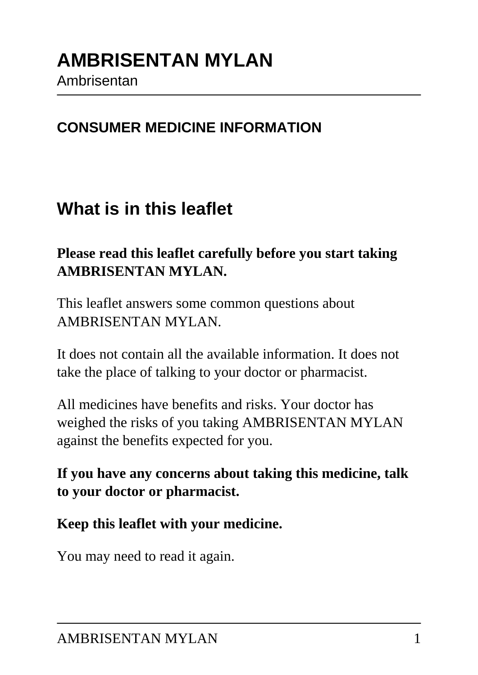#### **CONSUMER MEDICINE INFORMATION**

### **What is in this leaflet**

### **Please read this leaflet carefully before you start taking AMBRISENTAN MYLAN.**

This leaflet answers some common questions about AMBRISENTAN MYLAN.

It does not contain all the available information. It does not take the place of talking to your doctor or pharmacist.

All medicines have benefits and risks. Your doctor has weighed the risks of you taking AMBRISENTAN MYLAN against the benefits expected for you.

**If you have any concerns about taking this medicine, talk to your doctor or pharmacist.**

**Keep this leaflet with your medicine.**

You may need to read it again.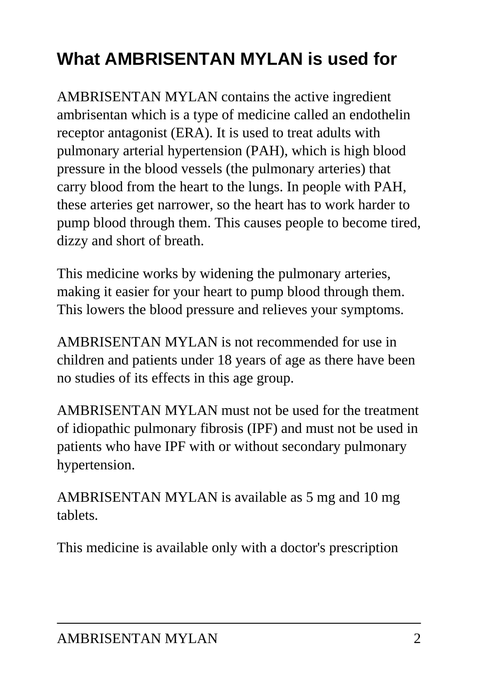# **What AMBRISENTAN MYLAN is used for**

AMBRISENTAN MYLAN contains the active ingredient ambrisentan which is a type of medicine called an endothelin receptor antagonist (ERA). It is used to treat adults with pulmonary arterial hypertension (PAH), which is high blood pressure in the blood vessels (the pulmonary arteries) that carry blood from the heart to the lungs. In people with PAH, these arteries get narrower, so the heart has to work harder to pump blood through them. This causes people to become tired, dizzy and short of breath.

This medicine works by widening the pulmonary arteries, making it easier for your heart to pump blood through them. This lowers the blood pressure and relieves your symptoms.

AMBRISENTAN MYLAN is not recommended for use in children and patients under 18 years of age as there have been no studies of its effects in this age group.

AMBRISENTAN MYLAN must not be used for the treatment of idiopathic pulmonary fibrosis (IPF) and must not be used in patients who have IPF with or without secondary pulmonary hypertension.

AMBRISENTAN MYLAN is available as 5 mg and 10 mg tablets.

This medicine is available only with a doctor's prescription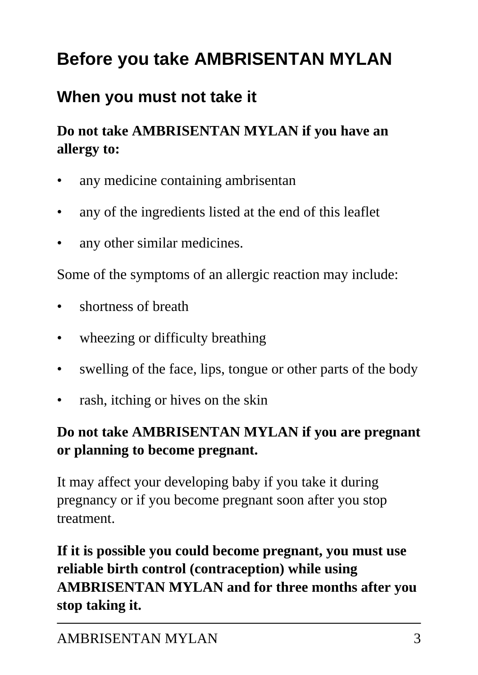# **Before you take AMBRISENTAN MYLAN**

### **When you must not take it**

### **Do not take AMBRISENTAN MYLAN if you have an allergy to:**

- any medicine containing ambrisentan
- any of the ingredients listed at the end of this leaflet
- any other similar medicines.

Some of the symptoms of an allergic reaction may include:

- shortness of breath
- wheezing or difficulty breathing
- swelling of the face, lips, tongue or other parts of the body
- rash, itching or hives on the skin

### **Do not take AMBRISENTAN MYLAN if you are pregnant or planning to become pregnant.**

It may affect your developing baby if you take it during pregnancy or if you become pregnant soon after you stop treatment.

**If it is possible you could become pregnant, you must use reliable birth control (contraception) while using AMBRISENTAN MYLAN and for three months after you stop taking it.**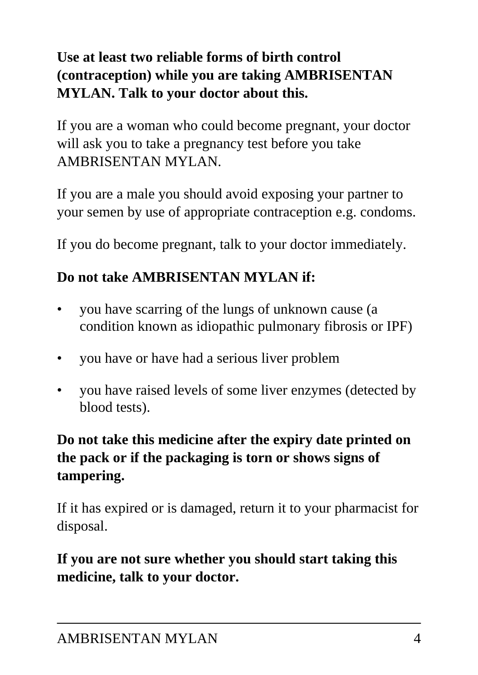### **Use at least two reliable forms of birth control (contraception) while you are taking AMBRISENTAN MYLAN. Talk to your doctor about this.**

If you are a woman who could become pregnant, your doctor will ask you to take a pregnancy test before you take AMBRISENTAN MYLAN.

If you are a male you should avoid exposing your partner to your semen by use of appropriate contraception e.g. condoms.

If you do become pregnant, talk to your doctor immediately.

### **Do not take AMBRISENTAN MYLAN if:**

- you have scarring of the lungs of unknown cause (a condition known as idiopathic pulmonary fibrosis or IPF)
- you have or have had a serious liver problem
- you have raised levels of some liver enzymes (detected by blood tests).

### **Do not take this medicine after the expiry date printed on the pack or if the packaging is torn or shows signs of tampering.**

If it has expired or is damaged, return it to your pharmacist for disposal.

### **If you are not sure whether you should start taking this medicine, talk to your doctor.**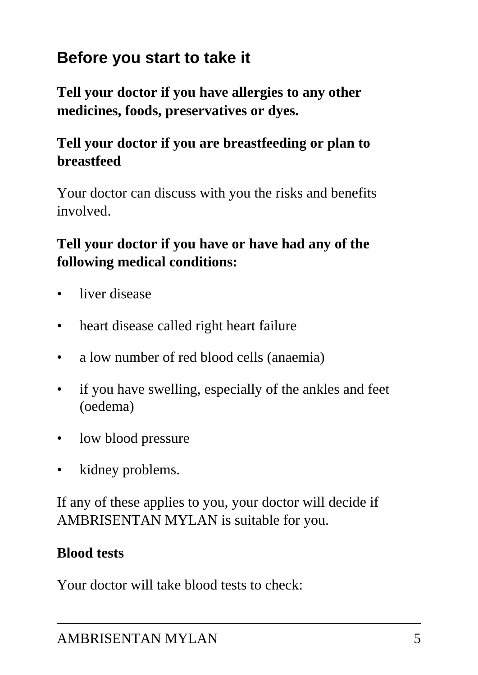## **Before you start to take it**

**Tell your doctor if you have allergies to any other medicines, foods, preservatives or dyes.**

### **Tell your doctor if you are breastfeeding or plan to breastfeed**

Your doctor can discuss with you the risks and benefits involved.

### **Tell your doctor if you have or have had any of the following medical conditions:**

- liver disease
- heart disease called right heart failure
- a low number of red blood cells (anaemia)
- if you have swelling, especially of the ankles and feet (oedema)
- low blood pressure
- kidney problems.

If any of these applies to you, your doctor will decide if AMBRISENTAN MYLAN is suitable for you.

### **Blood tests**

Your doctor will take blood tests to check: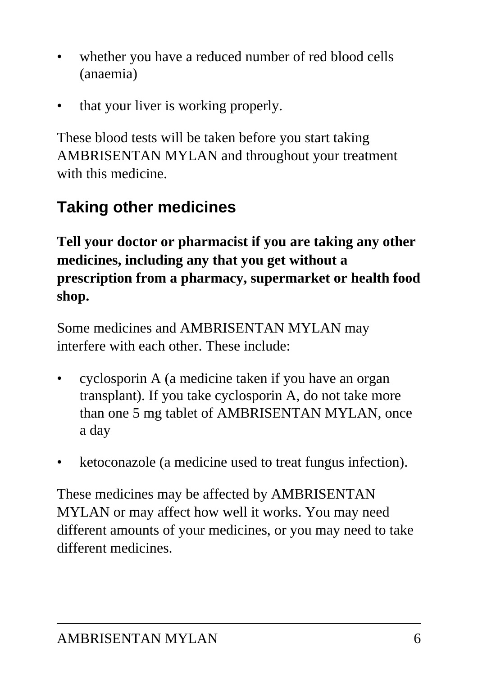- whether you have a reduced number of red blood cells (anaemia)
- that your liver is working properly.

These blood tests will be taken before you start taking AMBRISENTAN MYLAN and throughout your treatment with this medicine.

## **Taking other medicines**

**Tell your doctor or pharmacist if you are taking any other medicines, including any that you get without a prescription from a pharmacy, supermarket or health food shop.**

Some medicines and AMBRISENTAN MYLAN may interfere with each other. These include:

- cyclosporin A (a medicine taken if you have an organ transplant). If you take cyclosporin A, do not take more than one 5 mg tablet of AMBRISENTAN MYLAN, once a day
- ketoconazole (a medicine used to treat fungus infection).

These medicines may be affected by AMBRISENTAN MYLAN or may affect how well it works. You may need different amounts of your medicines, or you may need to take different medicines.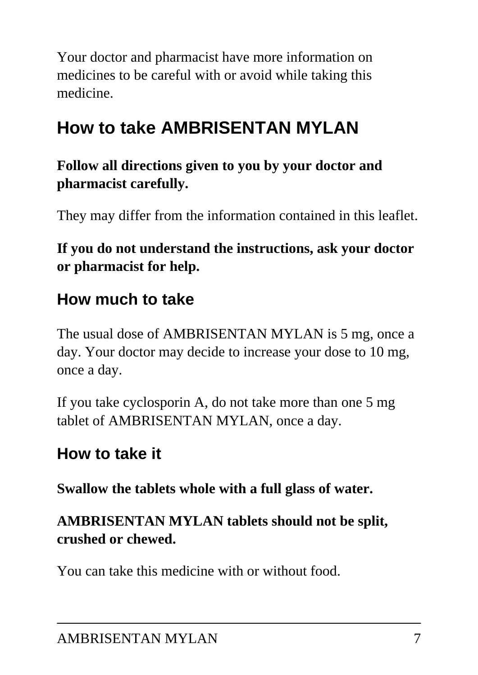Your doctor and pharmacist have more information on medicines to be careful with or avoid while taking this medicine.

# **How to take AMBRISENTAN MYLAN**

**Follow all directions given to you by your doctor and pharmacist carefully.**

They may differ from the information contained in this leaflet.

### **If you do not understand the instructions, ask your doctor or pharmacist for help.**

### **How much to take**

The usual dose of AMBRISENTAN MYLAN is 5 mg, once a day. Your doctor may decide to increase your dose to 10 mg, once a day.

If you take cyclosporin A, do not take more than one 5 mg tablet of AMBRISENTAN MYLAN, once a day.

### **How to take it**

**Swallow the tablets whole with a full glass of water.**

### **AMBRISENTAN MYLAN tablets should not be split, crushed or chewed.**

You can take this medicine with or without food.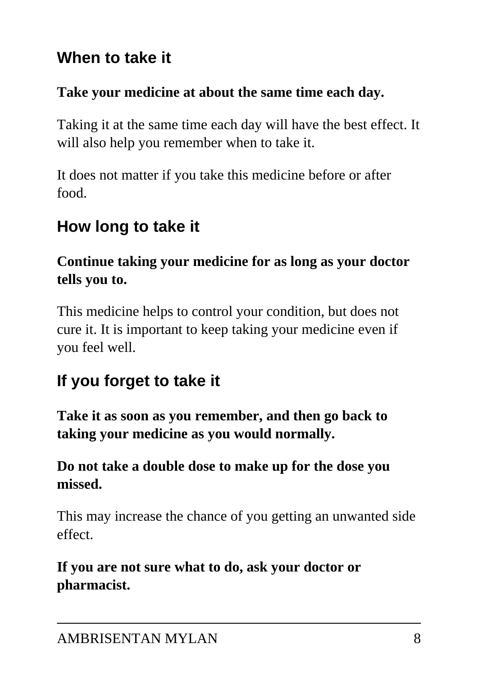### **When to take it**

#### **Take your medicine at about the same time each day.**

Taking it at the same time each day will have the best effect. It will also help you remember when to take it.

It does not matter if you take this medicine before or after food.

## **How long to take it**

### **Continue taking your medicine for as long as your doctor tells you to.**

This medicine helps to control your condition, but does not cure it. It is important to keep taking your medicine even if you feel well.

# **If you forget to take it**

**Take it as soon as you remember, and then go back to taking your medicine as you would normally.**

### **Do not take a double dose to make up for the dose you missed.**

This may increase the chance of you getting an unwanted side effect.

**If you are not sure what to do, ask your doctor or pharmacist.**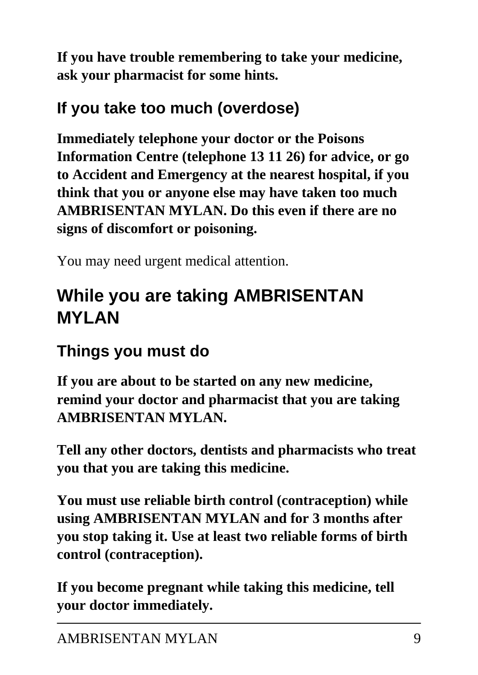**If you have trouble remembering to take your medicine, ask your pharmacist for some hints.**

## **If you take too much (overdose)**

**Immediately telephone your doctor or the Poisons Information Centre (telephone 13 11 26) for advice, or go to Accident and Emergency at the nearest hospital, if you think that you or anyone else may have taken too much AMBRISENTAN MYLAN. Do this even if there are no signs of discomfort or poisoning.**

You may need urgent medical attention.

# **While you are taking AMBRISENTAN MYLAN**

## **Things you must do**

**If you are about to be started on any new medicine, remind your doctor and pharmacist that you are taking AMBRISENTAN MYLAN.**

**Tell any other doctors, dentists and pharmacists who treat you that you are taking this medicine.**

**You must use reliable birth control (contraception) while using AMBRISENTAN MYLAN and for 3 months after you stop taking it. Use at least two reliable forms of birth control (contraception).**

**If you become pregnant while taking this medicine, tell your doctor immediately.**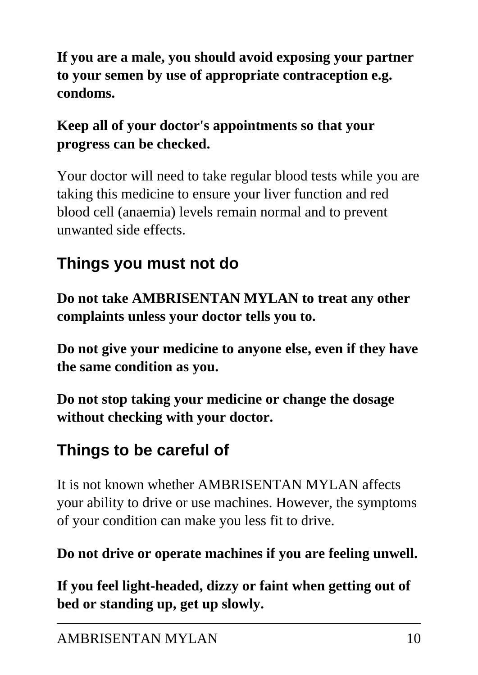**If you are a male, you should avoid exposing your partner to your semen by use of appropriate contraception e.g. condoms.**

### **Keep all of your doctor's appointments so that your progress can be checked.**

Your doctor will need to take regular blood tests while you are taking this medicine to ensure your liver function and red blood cell (anaemia) levels remain normal and to prevent unwanted side effects.

# **Things you must not do**

**Do not take AMBRISENTAN MYLAN to treat any other complaints unless your doctor tells you to.**

**Do not give your medicine to anyone else, even if they have the same condition as you.**

**Do not stop taking your medicine or change the dosage without checking with your doctor.**

# **Things to be careful of**

It is not known whether AMBRISENTAN MYLAN affects your ability to drive or use machines. However, the symptoms of your condition can make you less fit to drive.

**Do not drive or operate machines if you are feeling unwell.**

**If you feel light-headed, dizzy or faint when getting out of bed or standing up, get up slowly.**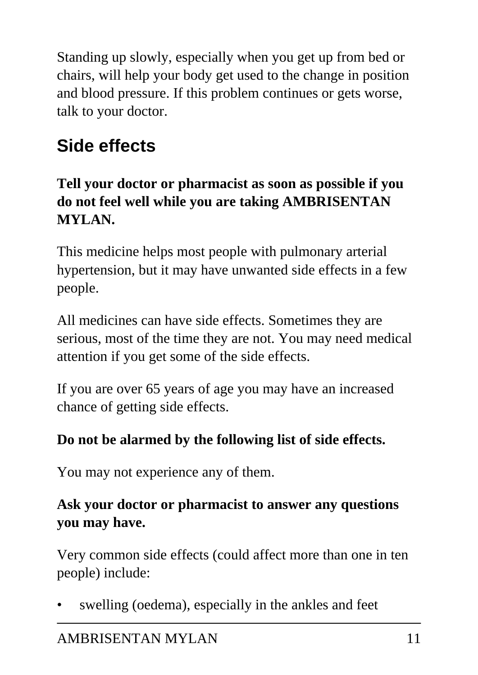Standing up slowly, especially when you get up from bed or chairs, will help your body get used to the change in position and blood pressure. If this problem continues or gets worse, talk to your doctor.

# **Side effects**

### **Tell your doctor or pharmacist as soon as possible if you do not feel well while you are taking AMBRISENTAN MYLAN.**

This medicine helps most people with pulmonary arterial hypertension, but it may have unwanted side effects in a few people.

All medicines can have side effects. Sometimes they are serious, most of the time they are not. You may need medical attention if you get some of the side effects.

If you are over 65 years of age you may have an increased chance of getting side effects.

### **Do not be alarmed by the following list of side effects.**

You may not experience any of them.

### **Ask your doctor or pharmacist to answer any questions you may have.**

Very common side effects (could affect more than one in ten people) include:

swelling (oedema), especially in the ankles and feet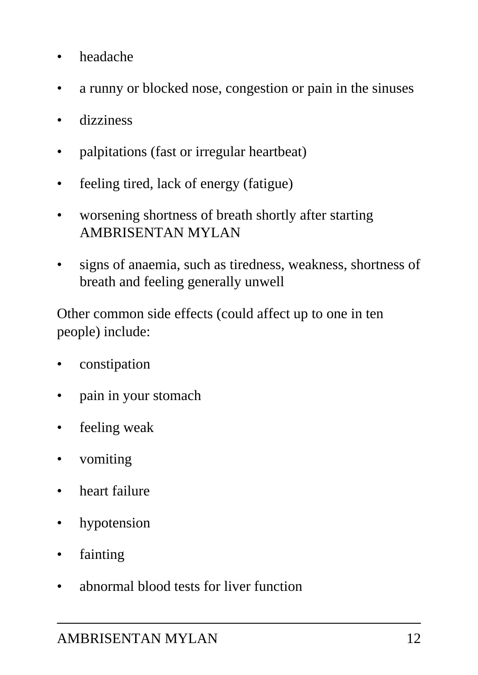- headache
- a runny or blocked nose, congestion or pain in the sinuses
- dizziness
- palpitations (fast or irregular heartbeat)
- feeling tired, lack of energy (fatigue)
- worsening shortness of breath shortly after starting AMBRISENTAN MYLAN
- signs of anaemia, such as tiredness, weakness, shortness of breath and feeling generally unwell

Other common side effects (could affect up to one in ten people) include:

- constipation
- pain in your stomach
- feeling weak
- vomiting
- heart failure
- hypotension
- fainting
- abnormal blood tests for liver function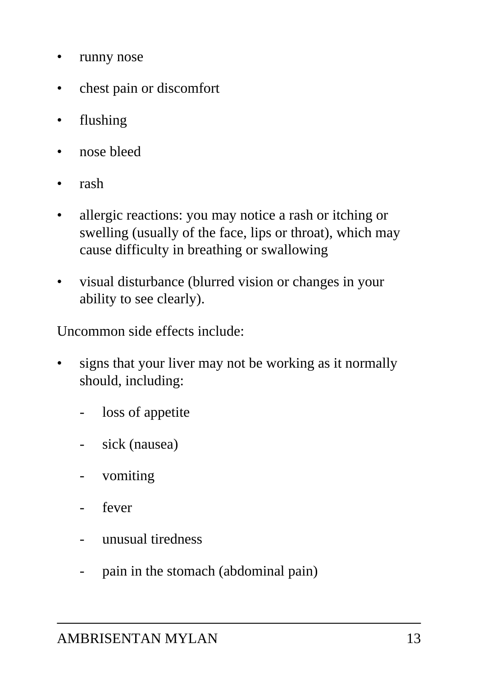- runny nose
- chest pain or discomfort
- flushing
- nose bleed
- rash
- allergic reactions: you may notice a rash or itching or swelling (usually of the face, lips or throat), which may cause difficulty in breathing or swallowing
- visual disturbance (blurred vision or changes in your ability to see clearly).

Uncommon side effects include:

- signs that your liver may not be working as it normally should, including:
	- loss of appetite
	- sick (nausea)
	- vomiting
	- fever
	- unusual tiredness
	- pain in the stomach (abdominal pain)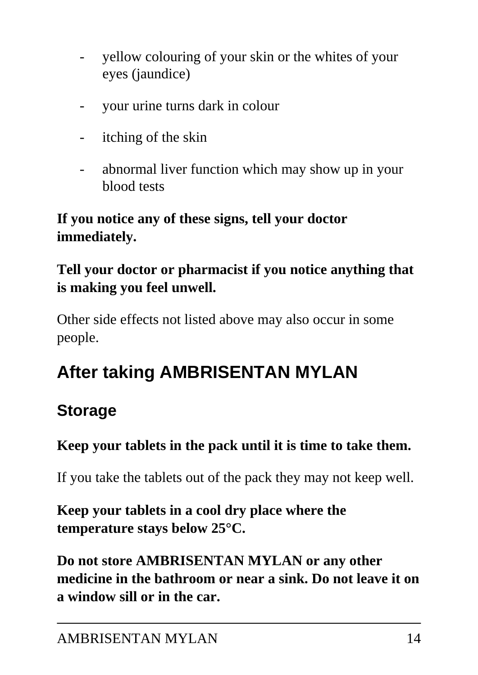- yellow colouring of your skin or the whites of your eyes (jaundice)
- your urine turns dark in colour
- itching of the skin
- abnormal liver function which may show up in your blood tests

### **If you notice any of these signs, tell your doctor immediately.**

### **Tell your doctor or pharmacist if you notice anything that is making you feel unwell.**

Other side effects not listed above may also occur in some people.

# **After taking AMBRISENTAN MYLAN**

### **Storage**

### **Keep your tablets in the pack until it is time to take them.**

If you take the tablets out of the pack they may not keep well.

### **Keep your tablets in a cool dry place where the temperature stays below 25°C.**

**Do not store AMBRISENTAN MYLAN or any other medicine in the bathroom or near a sink. Do not leave it on a window sill or in the car.**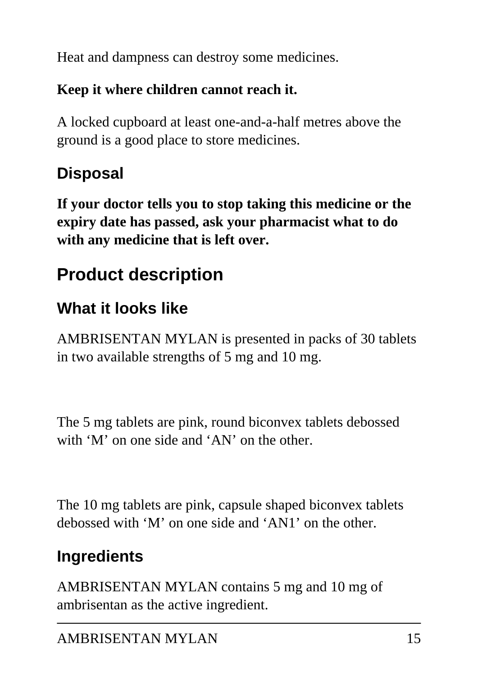Heat and dampness can destroy some medicines.

### **Keep it where children cannot reach it.**

A locked cupboard at least one-and-a-half metres above the ground is a good place to store medicines.

## **Disposal**

**If your doctor tells you to stop taking this medicine or the expiry date has passed, ask your pharmacist what to do with any medicine that is left over.**

# **Product description**

## **What it looks like**

AMBRISENTAN MYLAN is presented in packs of 30 tablets in two available strengths of 5 mg and 10 mg.

The 5 mg tablets are pink, round biconvex tablets debossed with 'M' on one side and 'AN' on the other.

The 10 mg tablets are pink, capsule shaped biconvex tablets debossed with 'M' on one side and 'AN1' on the other.

# **Ingredients**

AMBRISENTAN MYLAN contains 5 mg and 10 mg of ambrisentan as the active ingredient.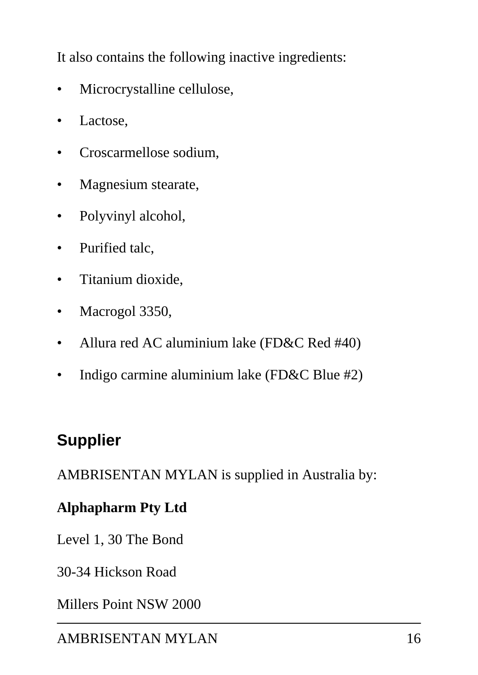It also contains the following inactive ingredients:

- Microcrystalline cellulose,
- Lactose,
- Croscarmellose sodium,
- Magnesium stearate,
- Polyvinyl alcohol,
- Purified talc,
- Titanium dioxide,
- Macrogol 3350,
- Allura red AC aluminium lake (FD&C Red #40)
- Indigo carmine aluminium lake (FD&C Blue #2)

### **Supplier**

AMBRISENTAN MYLAN is supplied in Australia by:

#### **Alphapharm Pty Ltd**

Level 1, 30 The Bond

30-34 Hickson Road

Millers Point NSW 2000